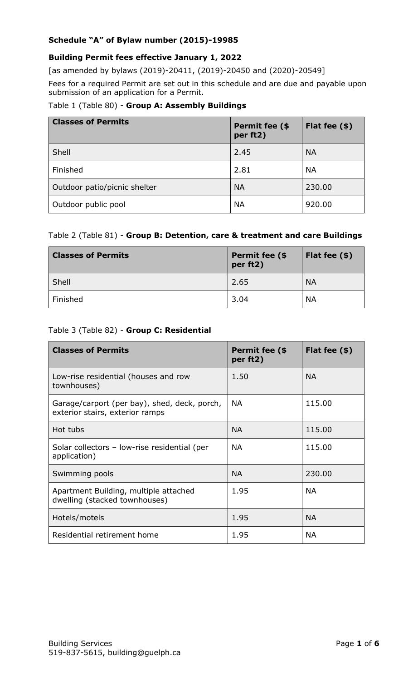### **Schedule "A" of Bylaw number (2015)-19985**

### **Building Permit fees effective January 1, 2022**

[as amended by bylaws (2019)-20411, (2019)-20450 and (2020)-20549]

Fees for a required Permit are set out in this schedule and are due and payable upon submission of an application for a Permit.

#### Table 1 (Table 80) - **Group A: Assembly Buildings**

| <b>Classes of Permits</b>    | Permit fee (\$<br>per ft2) | Flat fee $(*)$ |
|------------------------------|----------------------------|----------------|
| Shell                        | 2.45                       | <b>NA</b>      |
| Finished                     | 2.81                       | <b>NA</b>      |
| Outdoor patio/picnic shelter | <b>NA</b>                  | 230.00         |
| Outdoor public pool          | <b>NA</b>                  | 920.00         |

### Table 2 (Table 81) - **Group B: Detention, care & treatment and care Buildings**

| <b>Classes of Permits</b> | Permit fee (\$<br>per ft2) | Flat fee $(*)$ |
|---------------------------|----------------------------|----------------|
| Shell                     | 2.65                       | <b>NA</b>      |
| Finished                  | 3.04                       | <b>NA</b>      |

### Table 3 (Table 82) - **Group C: Residential**

| <b>Classes of Permits</b>                                                       | Permit fee (\$<br>per ft2) | Flat fee $(*)$ |
|---------------------------------------------------------------------------------|----------------------------|----------------|
| Low-rise residential (houses and row<br>townhouses)                             | 1.50                       | <b>NA</b>      |
| Garage/carport (per bay), shed, deck, porch,<br>exterior stairs, exterior ramps | <b>NA</b>                  | 115.00         |
| Hot tubs                                                                        | <b>NA</b>                  | 115.00         |
| Solar collectors - low-rise residential (per<br>application)                    | <b>NA</b>                  | 115.00         |
| Swimming pools                                                                  | <b>NA</b>                  | 230.00         |
| Apartment Building, multiple attached<br>dwelling (stacked townhouses)          | 1.95                       | <b>NA</b>      |
| Hotels/motels                                                                   | 1.95                       | <b>NA</b>      |
| Residential retirement home                                                     | 1.95                       | <b>NA</b>      |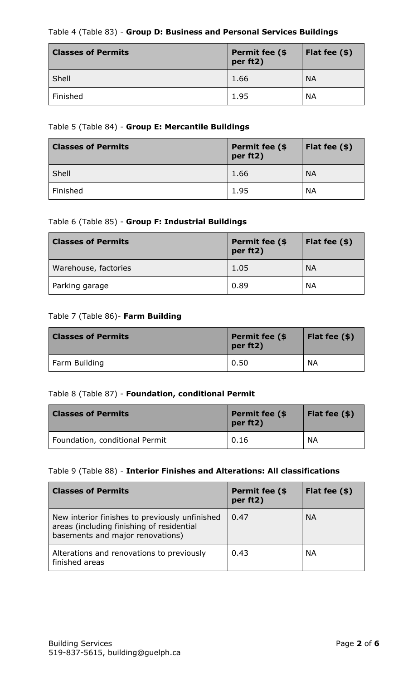## Table 4 (Table 83) - **Group D: Business and Personal Services Buildings**

| <b>Classes of Permits</b> | Permit fee (\$<br>per ft2) | Flat fee $(\$)$ |
|---------------------------|----------------------------|-----------------|
| Shell                     | 1.66                       | <b>NA</b>       |
| Finished                  | 1.95                       | <b>NA</b>       |

### Table 5 (Table 84) - **Group E: Mercantile Buildings**

| <b>Classes of Permits</b> | Permit fee (\$<br>per ft2) | Flat fee $(\$)$ |
|---------------------------|----------------------------|-----------------|
| Shell                     | 1.66                       | <b>NA</b>       |
| Finished                  | 1.95                       | <b>NA</b>       |

## Table 6 (Table 85) - **Group F: Industrial Buildings**

| <b>Classes of Permits</b> | Permit fee (\$<br>per ft2) | Flat fee $(\$)$ |
|---------------------------|----------------------------|-----------------|
| Warehouse, factories      | 1.05                       | <b>NA</b>       |
| Parking garage            | 0.89                       | <b>NA</b>       |

### Table 7 (Table 86)- **Farm Building**

| <b>Classes of Permits</b> | Permit fee (\$<br>per ft2) | Flat fee $(\$)$ |
|---------------------------|----------------------------|-----------------|
| Farm Building             | 0.50                       | <b>NA</b>       |

# Table 8 (Table 87) - **Foundation, conditional Permit**

| <b>Classes of Permits</b>      | Permit fee (\$<br>per ft2) | Flat fee $(*)$ |
|--------------------------------|----------------------------|----------------|
| Foundation, conditional Permit | 0.16                       | <b>NA</b>      |

### Table 9 (Table 88) - **Interior Finishes and Alterations: All classifications**

| <b>Classes of Permits</b>                                                                                                       | Permit fee (\$<br>per ft2) | Flat fee $(*)$ |
|---------------------------------------------------------------------------------------------------------------------------------|----------------------------|----------------|
| New interior finishes to previously unfinished<br>areas (including finishing of residential<br>basements and major renovations) | 0.47                       | <b>NA</b>      |
| Alterations and renovations to previously<br>finished areas                                                                     | 0.43                       | <b>NA</b>      |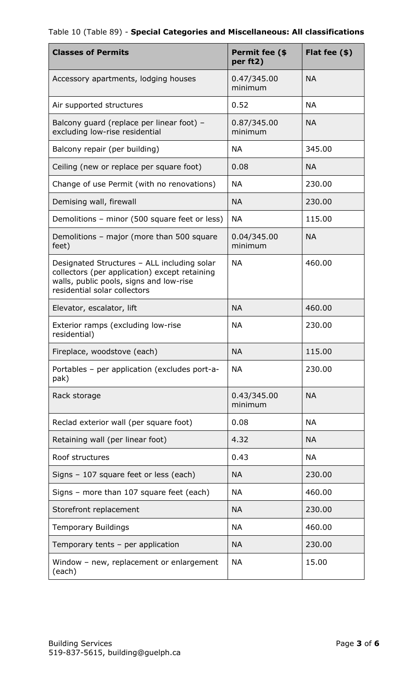| <b>Classes of Permits</b>                                                                                                                                               | Permit fee (\$<br>per ft2) | Flat fee $(*)$ |
|-------------------------------------------------------------------------------------------------------------------------------------------------------------------------|----------------------------|----------------|
| Accessory apartments, lodging houses                                                                                                                                    | 0.47/345.00<br>minimum     | <b>NA</b>      |
| Air supported structures                                                                                                                                                | 0.52                       | <b>NA</b>      |
| Balcony guard (replace per linear foot) -<br>excluding low-rise residential                                                                                             | 0.87/345.00<br>minimum     | <b>NA</b>      |
| Balcony repair (per building)                                                                                                                                           | <b>NA</b>                  | 345.00         |
| Ceiling (new or replace per square foot)                                                                                                                                | 0.08                       | <b>NA</b>      |
| Change of use Permit (with no renovations)                                                                                                                              | <b>NA</b>                  | 230.00         |
| Demising wall, firewall                                                                                                                                                 | <b>NA</b>                  | 230.00         |
| Demolitions – minor (500 square feet or less)                                                                                                                           | <b>NA</b>                  | 115.00         |
| Demolitions - major (more than 500 square<br>feet)                                                                                                                      | 0.04/345.00<br>minimum     | <b>NA</b>      |
| Designated Structures - ALL including solar<br>collectors (per application) except retaining<br>walls, public pools, signs and low-rise<br>residential solar collectors | <b>NA</b>                  | 460.00         |
| Elevator, escalator, lift                                                                                                                                               | <b>NA</b>                  | 460.00         |
| Exterior ramps (excluding low-rise<br>residential)                                                                                                                      | <b>NA</b>                  | 230.00         |
| Fireplace, woodstove (each)                                                                                                                                             | <b>NA</b>                  | 115.00         |
| Portables - per application (excludes port-a-<br>pak)                                                                                                                   | <b>NA</b>                  | 230.00         |
| Rack storage                                                                                                                                                            | 0.43/345.00<br>minimum     | <b>NA</b>      |
| Reclad exterior wall (per square foot)                                                                                                                                  | 0.08                       | <b>NA</b>      |
| Retaining wall (per linear foot)                                                                                                                                        | 4.32                       | <b>NA</b>      |
| Roof structures                                                                                                                                                         | 0.43                       | <b>NA</b>      |
| Signs - 107 square feet or less (each)                                                                                                                                  | <b>NA</b>                  | 230.00         |
| Signs - more than 107 square feet (each)                                                                                                                                | <b>NA</b>                  | 460.00         |
| Storefront replacement                                                                                                                                                  | <b>NA</b>                  | 230.00         |
| <b>Temporary Buildings</b>                                                                                                                                              | <b>NA</b>                  | 460.00         |
| Temporary tents - per application                                                                                                                                       | <b>NA</b>                  | 230.00         |
| Window - new, replacement or enlargement<br>(each)                                                                                                                      | <b>NA</b>                  | 15.00          |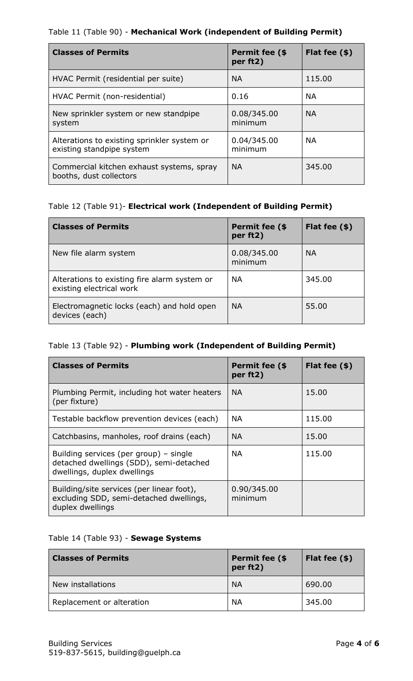## Table 11 (Table 90) - **Mechanical Work (independent of Building Permit)**

| <b>Classes of Permits</b>                                                | Permit fee (\$<br>per ft2) | Flat fee $(\$)$ |
|--------------------------------------------------------------------------|----------------------------|-----------------|
| HVAC Permit (residential per suite)                                      | <b>NA</b>                  | 115.00          |
| HVAC Permit (non-residential)                                            | 0.16                       | <b>NA</b>       |
| New sprinkler system or new standpipe<br>system                          | 0.08/345.00<br>minimum     | <b>NA</b>       |
| Alterations to existing sprinkler system or<br>existing standpipe system | 0.04/345.00<br>minimum     | <b>NA</b>       |
| Commercial kitchen exhaust systems, spray<br>booths, dust collectors     | <b>NA</b>                  | 345.00          |

# Table 12 (Table 91)- **Electrical work (Independent of Building Permit)**

| <b>Classes of Permits</b>                                                | Permit fee (\$<br>per ft2) | Flat fee $(*)$ |
|--------------------------------------------------------------------------|----------------------------|----------------|
| New file alarm system                                                    | 0.08/345.00<br>minimum     | <b>NA</b>      |
| Alterations to existing fire alarm system or<br>existing electrical work | <b>NA</b>                  | 345.00         |
| Electromagnetic locks (each) and hold open<br>devices (each)             | <b>NA</b>                  | 55.00          |

# Table 13 (Table 92) - **Plumbing work (Independent of Building Permit)**

| <b>Classes of Permits</b>                                                                                        | Permit fee (\$<br>per ft2) | Flat fee $(*)$ |
|------------------------------------------------------------------------------------------------------------------|----------------------------|----------------|
| Plumbing Permit, including hot water heaters<br>(per fixture)                                                    | <b>NA</b>                  | 15.00          |
| Testable backflow prevention devices (each)                                                                      | <b>NA</b>                  | 115.00         |
| Catchbasins, manholes, roof drains (each)                                                                        | <b>NA</b>                  | 15.00          |
| Building services (per group) – single<br>detached dwellings (SDD), semi-detached<br>dwellings, duplex dwellings | NA.                        | 115.00         |
| Building/site services (per linear foot),<br>excluding SDD, semi-detached dwellings,<br>duplex dwellings         | 0.90/345.00<br>minimum     |                |

# Table 14 (Table 93) - **Sewage Systems**

| <b>Classes of Permits</b> | Permit fee (\$<br>per ft2) | Flat fee $(*)$ |
|---------------------------|----------------------------|----------------|
| New installations         | <b>NA</b>                  | 690.00         |
| Replacement or alteration | <b>NA</b>                  | 345.00         |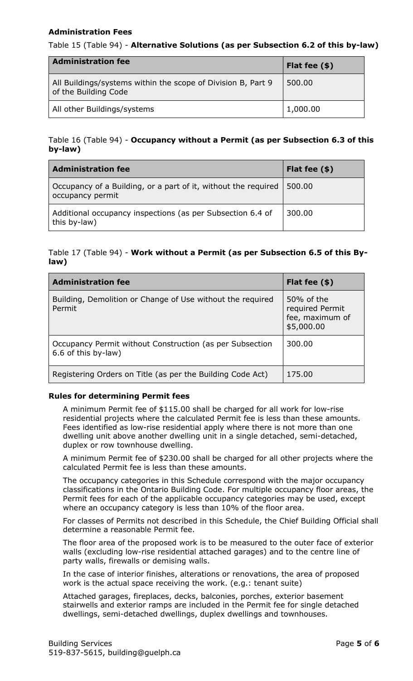### **Administration Fees**

### Table 15 (Table 94) - **Alternative Solutions (as per Subsection 6.2 of this by-law)**

| <b>Administration fee</b>                                                            | Flat fee $(\$)$ |
|--------------------------------------------------------------------------------------|-----------------|
| All Buildings/systems within the scope of Division B, Part 9<br>of the Building Code | 500.00          |
| All other Buildings/systems                                                          | 1,000.00        |

### Table 16 (Table 94) - **Occupancy without a Permit (as per Subsection 6.3 of this by-law)**

| <b>Administration fee</b>                                                          | Flat fee $(\$)$ |
|------------------------------------------------------------------------------------|-----------------|
| Occupancy of a Building, or a part of it, without the required<br>occupancy permit | 500.00          |
| Additional occupancy inspections (as per Subsection 6.4 of<br>this by-law)         | 300.00          |

# Table 17 (Table 94) - **Work without a Permit (as per Subsection 6.5 of this Bylaw)**

| <b>Administration fee</b>                                                       | Flat fee $(\$)$                                                |
|---------------------------------------------------------------------------------|----------------------------------------------------------------|
| Building, Demolition or Change of Use without the required<br>Permit            | 50% of the<br>required Permit<br>fee, maximum of<br>\$5,000.00 |
| Occupancy Permit without Construction (as per Subsection<br>6.6 of this by-law) | 300.00                                                         |
| Registering Orders on Title (as per the Building Code Act)                      | 175.00                                                         |

# **Rules for determining Permit fees**

A minimum Permit fee of \$115.00 shall be charged for all work for low-rise residential projects where the calculated Permit fee is less than these amounts. Fees identified as low-rise residential apply where there is not more than one dwelling unit above another dwelling unit in a single detached, semi-detached, duplex or row townhouse dwelling.

A minimum Permit fee of \$230.00 shall be charged for all other projects where the calculated Permit fee is less than these amounts.

The occupancy categories in this Schedule correspond with the major occupancy classifications in the Ontario Building Code. For multiple occupancy floor areas, the Permit fees for each of the applicable occupancy categories may be used, except where an occupancy category is less than 10% of the floor area.

For classes of Permits not described in this Schedule, the Chief Building Official shall determine a reasonable Permit fee.

The floor area of the proposed work is to be measured to the outer face of exterior walls (excluding low-rise residential attached garages) and to the centre line of party walls, firewalls or demising walls.

In the case of interior finishes, alterations or renovations, the area of proposed work is the actual space receiving the work. (e.g.: tenant suite)

Attached garages, fireplaces, decks, balconies, porches, exterior basement stairwells and exterior ramps are included in the Permit fee for single detached dwellings, semi-detached dwellings, duplex dwellings and townhouses.